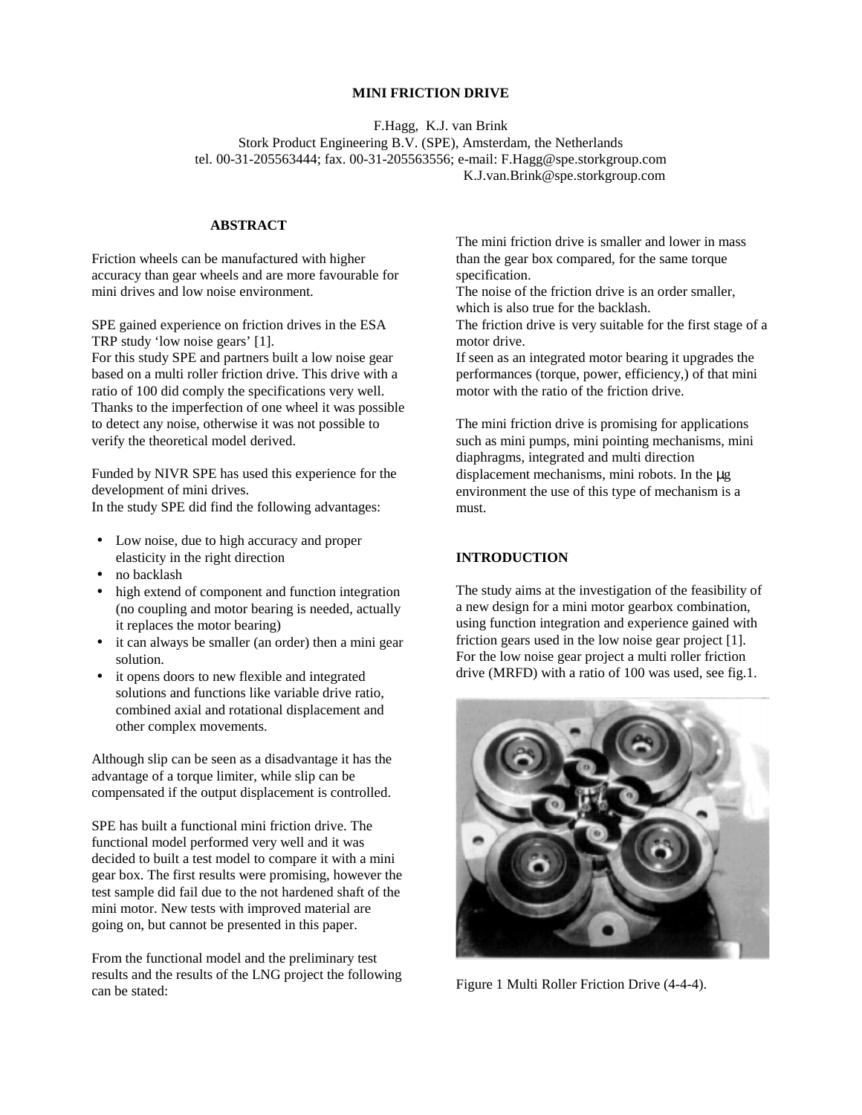#### **MINI FRICTION DRIVE**

F.Hagg, K.J. van Brink Stork Product Engineering B.V. (SPE), Amsterdam, the Netherlands tel. 00-31-205563444; fax. 00-31-205563556; e-mail: F.Hagg@spe.storkgroup.com K.J.van.Brink@spe.storkgroup.com

# **ABSTRACT**

Friction wheels can be manufactured with higher accuracy than gear wheels and are more favourable for mini drives and low noise environment.

SPE gained experience on friction drives in the ESA TRP study 'low noise gears' [1]. For this study SPE and partners built a low noise gear based on a multi roller friction drive. This drive with a ratio of 100 did comply the specifications very well. Thanks to the imperfection of one wheel it was possible to detect any noise, otherwise it was not possible to verify the theoretical model derived.

Funded by NIVR SPE has used this experience for the development of mini drives. In the study SPE did find the following advantages:

- Low noise, due to high accuracy and proper
- elasticity in the right direction
- no backlash
- high extend of component and function integration (no coupling and motor bearing is needed, actually it replaces the motor bearing)
- it can always be smaller (an order) then a mini gear solution.
- it opens doors to new flexible and integrated solutions and functions like variable drive ratio, combined axial and rotational displacement and other complex movements.

Although slip can be seen as a disadvantage it has the advantage of a torque limiter, while slip can be compensated if the output displacement is controlled.

SPE has built a functional mini friction drive. The functional model performed very well and it was decided to built a test model to compare it with a mini gear box. The first results were promising, however the test sample did fail due to the not hardened shaft of the mini motor. New tests with improved material are going on, but cannot be presented in this paper.

From the functional model and the preliminary test results and the results of the LNG project the following can be stated:

The mini friction drive is smaller and lower in mass than the gear box compared, for the same torque specification.

The noise of the friction drive is an order smaller, which is also true for the backlash.

The friction drive is very suitable for the first stage of a motor drive.

If seen as an integrated motor bearing it upgrades the performances (torque, power, efficiency,) of that mini motor with the ratio of the friction drive.

The mini friction drive is promising for applications such as mini pumps, mini pointing mechanisms, mini diaphragms, integrated and multi direction displacement mechanisms, mini robots. In the µg environment the use of this type of mechanism is a must.

## **INTRODUCTION**

The study aims at the investigation of the feasibility of a new design for a mini motor gearbox combination, using function integration and experience gained with friction gears used in the low noise gear project [1]. For the low noise gear project a multi roller friction drive (MRFD) with a ratio of 100 was used, see fig.1.



Figure 1 Multi Roller Friction Drive (4-4-4).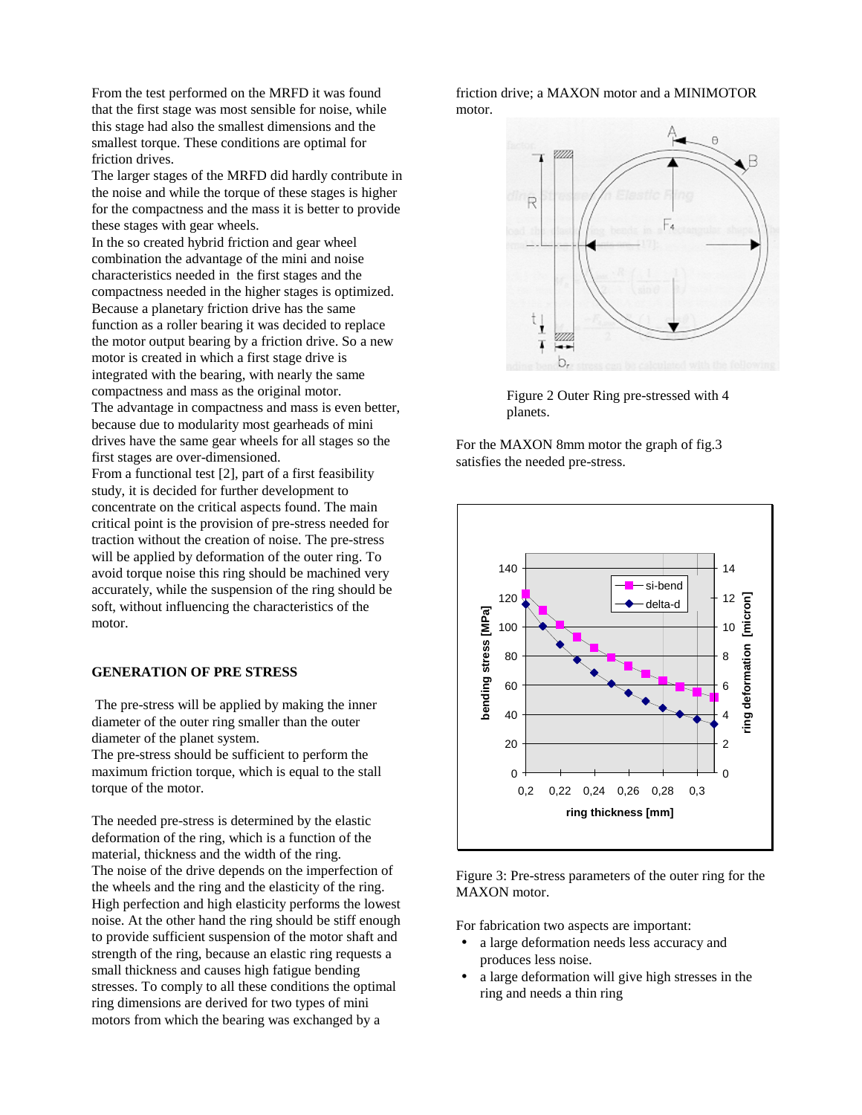From the test performed on the MRFD it was found that the first stage was most sensible for noise, while this stage had also the smallest dimensions and the smallest torque. These conditions are optimal for friction drives.

The larger stages of the MRFD did hardly contribute in the noise and while the torque of these stages is higher for the compactness and the mass it is better to provide these stages with gear wheels.

In the so created hybrid friction and gear wheel combination the advantage of the mini and noise characteristics needed in the first stages and the compactness needed in the higher stages is optimized. Because a planetary friction drive has the same function as a roller bearing it was decided to replace the motor output bearing by a friction drive. So a new motor is created in which a first stage drive is integrated with the bearing, with nearly the same compactness and mass as the original motor. The advantage in compactness and mass is even better, because due to modularity most gearheads of mini drives have the same gear wheels for all stages so the first stages are over-dimensioned.

From a functional test [2], part of a first feasibility study, it is decided for further development to concentrate on the critical aspects found. The main critical point is the provision of pre-stress needed for traction without the creation of noise. The pre-stress will be applied by deformation of the outer ring. To avoid torque noise this ring should be machined very accurately, while the suspension of the ring should be soft, without influencing the characteristics of the motor.

#### **GENERATION OF PRE STRESS**

 The pre-stress will be applied by making the inner diameter of the outer ring smaller than the outer diameter of the planet system.

The pre-stress should be sufficient to perform the maximum friction torque, which is equal to the stall torque of the motor.

The needed pre-stress is determined by the elastic deformation of the ring, which is a function of the material, thickness and the width of the ring. The noise of the drive depends on the imperfection of the wheels and the ring and the elasticity of the ring. High perfection and high elasticity performs the lowest noise. At the other hand the ring should be stiff enough to provide sufficient suspension of the motor shaft and strength of the ring, because an elastic ring requests a small thickness and causes high fatigue bending stresses. To comply to all these conditions the optimal ring dimensions are derived for two types of mini motors from which the bearing was exchanged by a

friction drive; a MAXON motor and a MINIMOTOR motor.



Figure 2 Outer Ring pre-stressed with 4 planets.

For the MAXON 8mm motor the graph of fig.3 satisfies the needed pre-stress.



Figure 3: Pre-stress parameters of the outer ring for the MAXON motor.

For fabrication two aspects are important:

- a large deformation needs less accuracy and produces less noise.
- a large deformation will give high stresses in the ring and needs a thin ring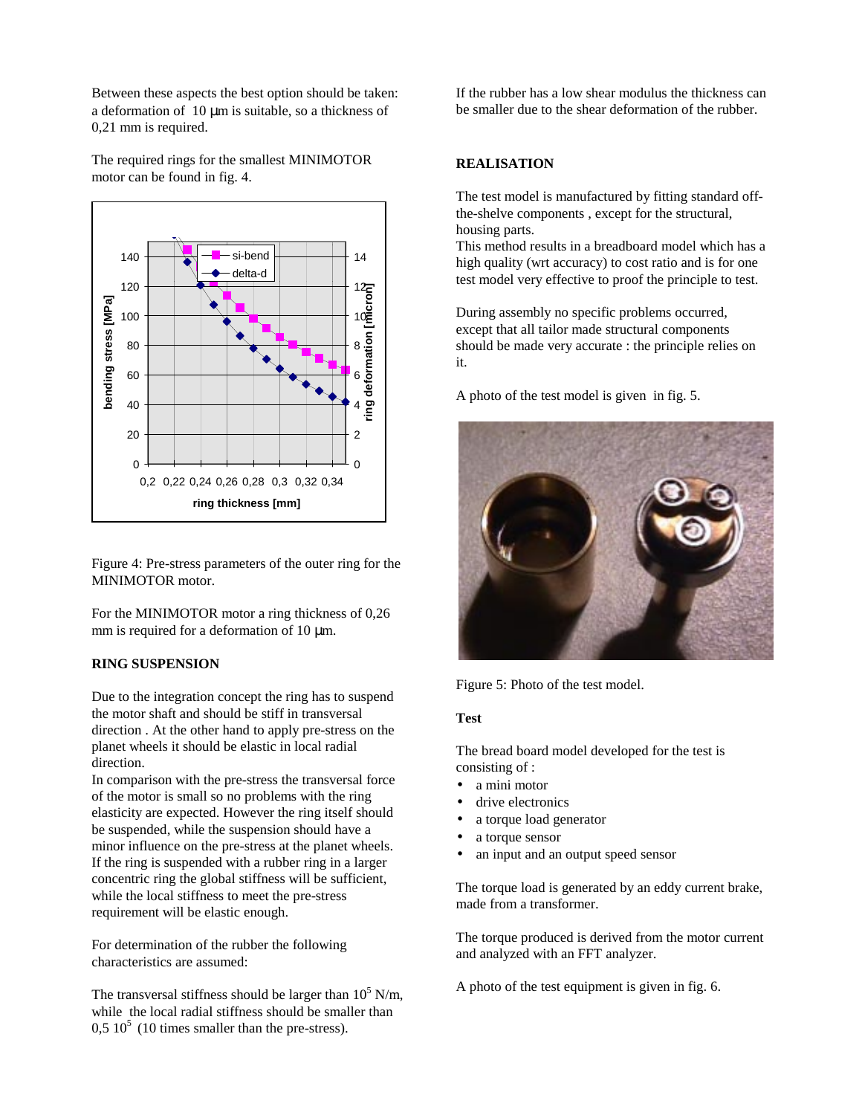Between these aspects the best option should be taken: a deformation of  $10 \mu m$  is suitable, so a thickness of 0,21 mm is required.

The required rings for the smallest MINIMOTOR motor can be found in fig. 4.



Figure 4: Pre-stress parameters of the outer ring for the MINIMOTOR motor.

For the MINIMOTOR motor a ring thickness of 0,26 mm is required for a deformation of 10  $\mu$ m.

# **RING SUSPENSION**

Due to the integration concept the ring has to suspend the motor shaft and should be stiff in transversal direction . At the other hand to apply pre-stress on the planet wheels it should be elastic in local radial direction.

In comparison with the pre-stress the transversal force of the motor is small so no problems with the ring elasticity are expected. However the ring itself should be suspended, while the suspension should have a minor influence on the pre-stress at the planet wheels. If the ring is suspended with a rubber ring in a larger concentric ring the global stiffness will be sufficient, while the local stiffness to meet the pre-stress requirement will be elastic enough.

For determination of the rubber the following characteristics are assumed:

The transversal stiffness should be larger than  $10^5$  N/m, while the local radial stiffness should be smaller than  $0.5 10<sup>5</sup>$  (10 times smaller than the pre-stress).

If the rubber has a low shear modulus the thickness can be smaller due to the shear deformation of the rubber.

# **REALISATION**

The test model is manufactured by fitting standard offthe-shelve components , except for the structural, housing parts.

This method results in a breadboard model which has a high quality (wrt accuracy) to cost ratio and is for one test model very effective to proof the principle to test.

During assembly no specific problems occurred, except that all tailor made structural components should be made very accurate : the principle relies on it.

A photo of the test model is given in fig. 5.



Figure 5: Photo of the test model.

#### **Test**

The bread board model developed for the test is consisting of :

- a mini motor
- drive electronics
- a torque load generator
- a torque sensor
- an input and an output speed sensor

The torque load is generated by an eddy current brake, made from a transformer.

The torque produced is derived from the motor current and analyzed with an FFT analyzer.

A photo of the test equipment is given in fig. 6.